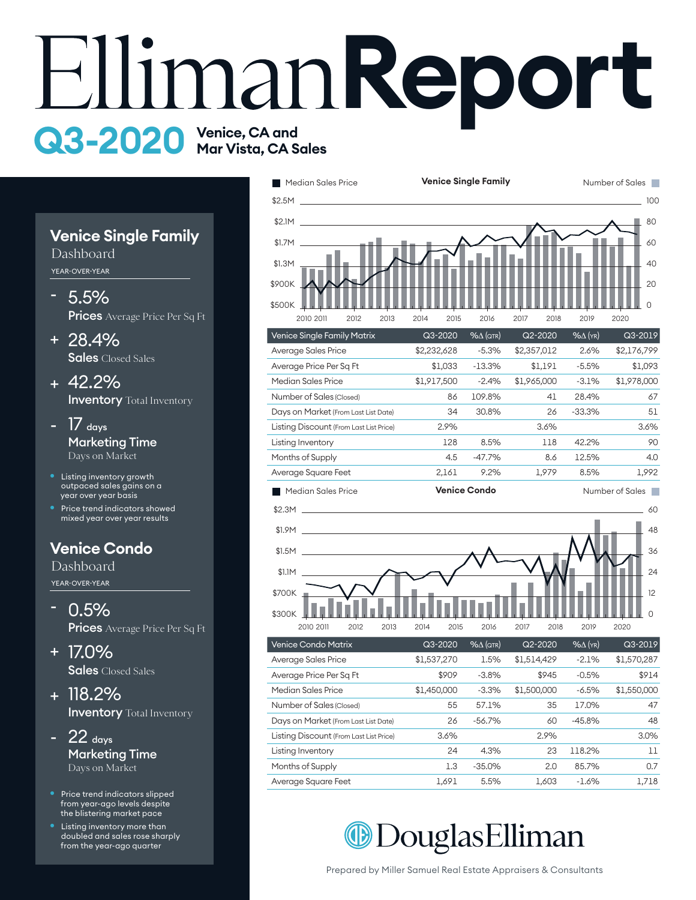# **EllimanReport** Q3-2020 Venice, CA and<br>Mar Vista, CA Sales

#### **Venice Single Family**

Dashboard YEAR-OVER-YEAR

- 5.5% Prices Average Price Per Sq Ft -
- 28.4% + Sales Closed Sales
- 42.2% + **Inventory** Total Inventory
- $17$  days Marketing Time Days on Market -
- Listing inventory growth outpaced sales gains on a year over year basis
- Price trend indicators showed mixed year over year results

### **Venice Condo**

Dashboard YEAR-OVER-YEAR

- 0.5% Prices Average Price Per Sq Ft
- 17.0% + Sales Closed Sales
- 118.2% + **Inventory** Total Inventory

- $22$  days Marketing Time Days on Market -
- Price trend indicators slipped from year-ago levels despite the blistering market pace
- Listing inventory more than doubled and sales rose sharply from the year-ago quarter





| Listing Discount (From Last List Price) | 3.6%  |          | 2.9%  |         | 3.0%  |
|-----------------------------------------|-------|----------|-------|---------|-------|
| Listing Inventory                       | 24    | 4.3%     | 23    | 118.2%  | 11    |
| Months of Supply                        | 1.3   | $-35.0%$ | 2.0   | 85.7%   | 0.7   |
| Average Square Feet                     | 1.691 | 5.5%     | 1.603 | $-1.6%$ | 1,718 |
|                                         |       |          |       |         |       |
|                                         |       |          |       |         |       |

Days on Market (From Last List Date) 26 -56.7% 60 -45.8% 48